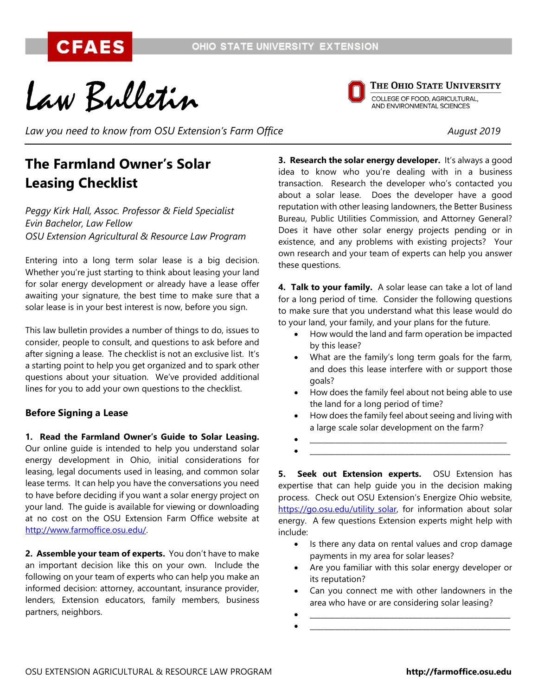Law Bulletin



THE OHIO STATE UNIVERSITY **COLLEGE OF FOOD, AGRICULTURAL,<br>AND ENVIRONMENTAL SCIENCES** 

*Law you need to know from OSU Extension's Farm Office August 2019*

# **The Farmland Owner's Solar Leasing Checklist**

*Peggy Kirk Hall, Assoc. Professor & Field Specialist Evin Bachelor, Law Fellow OSU Extension Agricultural & Resource Law Program*

Entering into a long term solar lease is a big decision. Whether you're just starting to think about leasing your land for solar energy development or already have a lease offer awaiting your signature, the best time to make sure that a solar lease is in your best interest is now, before you sign.

This law bulletin provides a number of things to do, issues to consider, people to consult, and questions to ask before and after signing a lease. The checklist is not an exclusive list. It's a starting point to help you get organized and to spark other questions about your situation. We've provided additional lines for you to add your own questions to the checklist.

#### **Before Signing a Lease**

**1. Read the Farmland Owner's Guide to Solar Leasing.** Our online guide is intended to help you understand solar energy development in Ohio, initial considerations for leasing, legal documents used in leasing, and common solar lease terms. It can help you have the conversations you need to have before deciding if you want a solar energy project on your land. The guide is available for viewing or downloading at no cost on the OSU Extension Farm Office website at [http://www.farmoffice.osu.edu/.](http://www.farmoffice.osu.edu/)

**2. Assemble your team of experts.** You don't have to make an important decision like this on your own. Include the following on your team of experts who can help you make an informed decision: attorney, accountant, insurance provider, lenders, Extension educators, family members, business partners, neighbors.

**3. Research the solar energy developer.** It's always a good idea to know who you're dealing with in a business transaction. Research the developer who's contacted you about a solar lease. Does the developer have a good reputation with other leasing landowners, the Better Business Bureau, Public Utilities Commission, and Attorney General? Does it have other solar energy projects pending or in existence, and any problems with existing projects? Your own research and your team of experts can help you answer these questions.

**4. Talk to your family.** A solar lease can take a lot of land for a long period of time. Consider the following questions to make sure that you understand what this lease would do to your land, your family, and your plans for the future.

- How would the land and farm operation be impacted by this lease?
- What are the family's long term goals for the farm, and does this lease interfere with or support those goals?
- How does the family feel about not being able to use the land for a long period of time?
- How does the family feel about seeing and living with a large scale solar development on the farm?
- $\bullet$   $\qquad \qquad \qquad \qquad \qquad \qquad \qquad \qquad \qquad \qquad \qquad \qquad \qquad \qquad \qquad \qquad \qquad \qquad \qquad \qquad \qquad \qquad \qquad \qquad \qquad \qquad \qquad \qquad \qquad \qquad \qquad \qquad \qquad \qquad \qquad \qquad \qquad \qquad \qquad \qquad \qquad \qquad \qquad \q$  $\bullet$   $\qquad \qquad \qquad \qquad \qquad \qquad \qquad \qquad \qquad \qquad \qquad \qquad \qquad \qquad \qquad \qquad \qquad \qquad \qquad \qquad \qquad \qquad \qquad \qquad \qquad \qquad \qquad \qquad \qquad \qquad \qquad \qquad \qquad \qquad \qquad \qquad \qquad \qquad \qquad \qquad \qquad \qquad \qquad \q$

**5. Seek out Extension experts.** OSU Extension has expertise that can help guide you in the decision making process. Check out OSU Extension's Energize Ohio website, [https://go.osu.edu/utility\\_solar,](https://go.osu.edu/utility_solar) for information about solar energy. A few questions Extension experts might help with include:

- Is there any data on rental values and crop damage payments in my area for solar leases?
- Are you familiar with this solar energy developer or its reputation?
- Can you connect me with other landowners in the area who have or are considering solar leasing?
- $\bullet$   $\qquad \qquad \qquad \qquad \qquad \qquad \qquad \qquad \qquad \qquad \qquad \qquad \qquad \qquad \qquad \qquad \qquad \qquad \qquad \qquad \qquad \qquad \qquad \qquad \qquad \qquad \qquad \qquad \qquad \qquad \qquad \qquad \qquad \qquad \qquad \qquad \qquad \qquad \qquad \qquad \qquad \qquad \qquad \q$  $\bullet$   $\qquad \qquad \qquad \qquad \qquad \qquad \qquad \qquad \qquad \qquad \qquad \qquad \qquad \qquad \qquad \qquad \qquad \qquad \qquad \qquad \qquad \qquad \qquad \qquad \qquad \qquad \qquad \qquad \qquad \qquad \qquad \qquad \qquad \qquad \qquad \qquad \qquad \qquad \qquad \qquad \qquad \qquad \qquad \q$
- OSU EXTENSION AGRICULTURAL & RESOURCE LAW PROGRAM **http://farmoffice.osu.edu**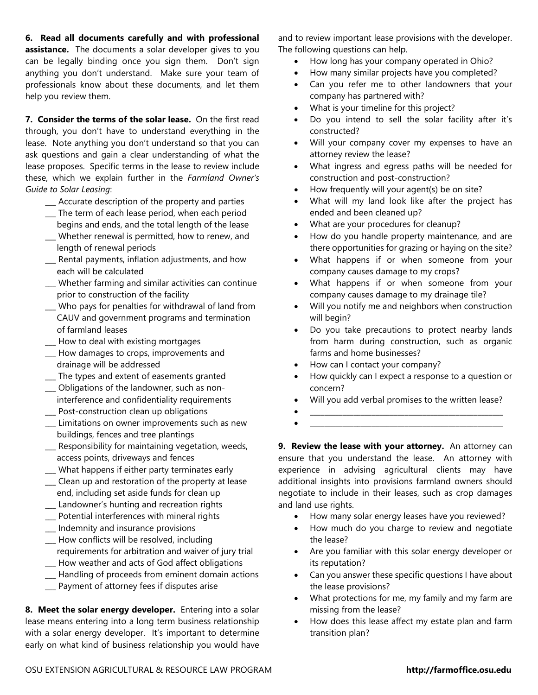**6. Read all documents carefully and with professional assistance.** The documents a solar developer gives to you can be legally binding once you sign them. Don't sign anything you don't understand. Make sure your team of professionals know about these documents, and let them help you review them.

**7. Consider the terms of the solar lease.** On the first read through, you don't have to understand everything in the lease. Note anything you don't understand so that you can ask questions and gain a clear understanding of what the lease proposes. Specific terms in the lease to review include these, which we explain further in the *Farmland Owner's Guide to Solar Leasing*:

- **\_\_\_** Accurate description of the property and parties
- **\_\_\_** The term of each lease period, when each period begins and ends, and the total length of the lease
- **\_\_\_** Whether renewal is permitted, how to renew, and length of renewal periods
- **\_\_\_** Rental payments, inflation adjustments, and how each will be calculated
- **\_\_\_** Whether farming and similar activities can continue prior to construction of the facility
- \_\_\_ Who pays for penalties for withdrawal of land from CAUV and government programs and termination of farmland leases
- **\_\_\_** How to deal with existing mortgages
- \_\_\_ How damages to crops, improvements and drainage will be addressed
- **\_\_\_** The types and extent of easements granted
- **\_\_\_** Obligations of the landowner, such as noninterference and confidentiality requirements
- **\_\_\_** Post-construction clean up obligations
- **\_\_\_** Limitations on owner improvements such as new buildings, fences and tree plantings
- **\_\_\_** Responsibility for maintaining vegetation, weeds, access points, driveways and fences
- **\_\_\_** What happens if either party terminates early
- **\_\_\_** Clean up and restoration of the property at lease end, including set aside funds for clean up
- **\_\_\_** Landowner's hunting and recreation rights
- **\_\_\_** Potential interferences with mineral rights
- **\_\_\_** Indemnity and insurance provisions
- **\_\_\_** How conflicts will be resolved, including requirements for arbitration and waiver of jury trial **\_\_\_** How weather and acts of God affect obligations
- **\_\_\_** Handling of proceeds from eminent domain actions
- 
- **\_\_\_** Payment of attorney fees if disputes arise

**8. Meet the solar energy developer.** Entering into a solar lease means entering into a long term business relationship with a solar energy developer. It's important to determine early on what kind of business relationship you would have and to review important lease provisions with the developer. The following questions can help.

- How long has your company operated in Ohio?
- How many similar projects have you completed?
- Can you refer me to other landowners that your company has partnered with?
- What is your timeline for this project?
- Do you intend to sell the solar facility after it's constructed?
- Will your company cover my expenses to have an attorney review the lease?
- What ingress and egress paths will be needed for construction and post-construction?
- How frequently will your agent(s) be on site?
- What will my land look like after the project has ended and been cleaned up?
- What are your procedures for cleanup?
- How do you handle property maintenance, and are there opportunities for grazing or haying on the site?
- What happens if or when someone from your company causes damage to my crops?
- What happens if or when someone from your company causes damage to my drainage tile?
- Will you notify me and neighbors when construction will begin?
- Do you take precautions to protect nearby lands from harm during construction, such as organic farms and home businesses?
- How can I contact your company?
- How quickly can I expect a response to a question or concern?
- Will you add verbal promises to the written lease?
- $\bullet$   $\qquad \qquad \qquad \qquad \qquad \qquad \qquad \qquad \qquad \qquad \qquad \qquad \qquad \qquad \qquad \qquad \qquad \qquad \qquad \qquad \qquad \qquad \qquad \qquad \qquad \qquad \qquad \qquad \qquad \qquad \qquad \qquad \qquad \qquad \qquad \qquad \qquad \qquad \qquad \qquad \qquad \qquad \qquad \q$  $\bullet$   $\qquad \qquad \qquad \qquad \qquad \qquad \qquad \qquad \qquad \qquad \qquad \qquad \qquad \qquad \qquad \qquad \qquad \qquad \qquad \qquad \qquad \qquad \qquad \qquad \qquad \qquad \qquad \qquad \qquad \qquad \qquad \qquad \qquad \qquad \qquad \qquad \qquad \qquad \qquad \qquad \qquad \qquad \qquad \q$

**9. Review the lease with your attorney.** An attorney can ensure that you understand the lease. An attorney with experience in advising agricultural clients may have additional insights into provisions farmland owners should negotiate to include in their leases, such as crop damages and land use rights.

- How many solar energy leases have you reviewed?
- How much do you charge to review and negotiate the lease?
- Are you familiar with this solar energy developer or its reputation?
- Can you answer these specific questions I have about the lease provisions?
- What protections for me, my family and my farm are missing from the lease?
- How does this lease affect my estate plan and farm transition plan?